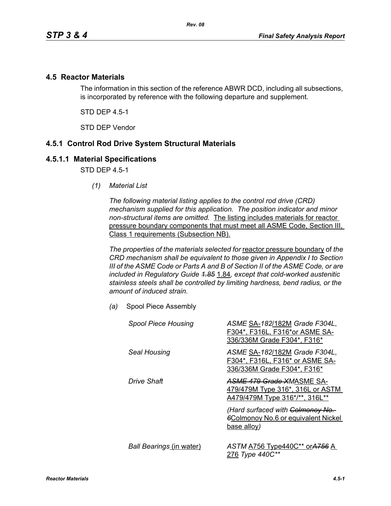### **4.5 Reactor Materials**

The information in this section of the reference ABWR DCD, including all subsections, is incorporated by reference with the following departure and supplement.

STD DEP 4.5-1

STD DEP Vendor

## **4.5.1 Control Rod Drive System Structural Materials**

#### **4.5.1.1 Material Specifications**

STD DFP 45-1

*(1) Material List*

*The following material listing applies to the control rod drive (CRD) mechanism supplied for this application. The position indicator and minor non-structural items are omitted.* The listing includes materials for reactor pressure boundary components that must meet all ASME Code, Section III, Class 1 requirements (Subsection NB).

*The properties of the materials selected for* reactor pressure boundary of *the CRD mechanism shall be equivalent to those given in Appendix I to Section III of the ASME Code or Parts A and B of Section II of the ASME Code, or are included in Regulatory Guide 1.85* 1.84*, except that cold-worked austenitic stainless steels shall be controlled by limiting hardness, bend radius, or the amount of induced strain.*

*(a)* Spool Piece Assembly

| <b>Spool Piece Housing</b>      | ASME SA-182/182M Grade F304L,<br>F304*, F316L, F316*or ASME SA-<br>336/336M Grade F304*, F316*         |
|---------------------------------|--------------------------------------------------------------------------------------------------------|
| Seal Housing                    | ASME SA-182/182M Grade F304L,<br>F304*, F316L, F316* or ASME SA-<br>336/336M Grade F304*, F316*        |
| Drive Shaft                     | <b>ASME 479 Grade XMASME SA-</b><br>479/479M Type 316*, 316L or ASTM<br>A479/479M Type 316*/**, 316L** |
|                                 | (Hard surfaced with Colmonoy No.<br><b>6Colmonoy No.6 or equivalent Nickel</b><br>base alloy)          |
| <b>Ball Bearings (in water)</b> | ASTM A756 Type440C** or A756 A<br>276 Type 440C**                                                      |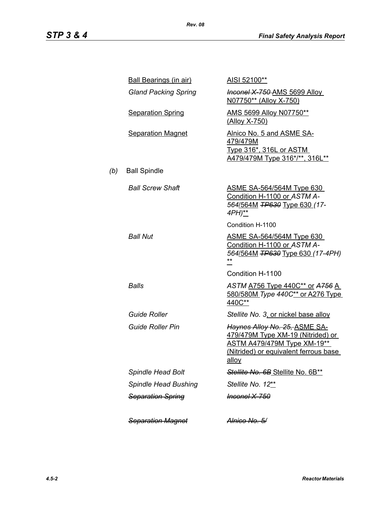|     | <b>Ball Bearings (in air)</b> | AISI 52100**                                                                                                                                               |
|-----|-------------------------------|------------------------------------------------------------------------------------------------------------------------------------------------------------|
|     | <b>Gland Packing Spring</b>   | <b>Inconel X 750 AMS 5699 Alloy</b><br>N07750** (Alloy X-750)                                                                                              |
|     | <b>Separation Spring</b>      | AMS 5699 Alloy N07750**<br>(Alloy X-750)                                                                                                                   |
|     | <b>Separation Magnet</b>      | Alnico No. 5 and ASME SA-<br><u>479/479M</u><br><u>Type 316*, 316L or ASTM</u><br>A479/479M Type 316*/**, 316L**                                           |
| (b) | <b>Ball Spindle</b>           |                                                                                                                                                            |
|     | <b>Ball Screw Shaft</b>       | <u>ASME SA-564/564M Type 630</u><br>Condition H-1100 or ASTM A-<br>564/564M TP630 Type 630 (17-<br>4PH)**                                                  |
|     |                               | Condition H-1100                                                                                                                                           |
|     | <b>Ball Nut</b>               | <u>ASME SA-564/564M Type 630</u><br>Condition H-1100 or ASTM A-<br>564/564M TP630 Type 630 (17-4PH)<br>**                                                  |
|     |                               | Condition H-1100                                                                                                                                           |
|     | Balls                         | ASTM A756 Type 440C** or A756 A<br>580/580M Type 440C** or A276 Type<br>440C**                                                                             |
|     | <b>Guide Roller</b>           | Stellite No. 3, or nickel base alloy                                                                                                                       |
|     | <b>Guide Roller Pin</b>       | Haynes Alloy No. 25, ASME SA-<br>479/479M Type XM-19 (Nitrided) or<br>ASTM A479/479M Type XM-19**<br>(Nitrided) or equivalent ferrous base<br><u>allov</u> |
|     | <b>Spindle Head Bolt</b>      | Stellite No. 6B Stellite No. 6B**                                                                                                                          |
|     | <b>Spindle Head Bushing</b>   | Stellite No. 12**                                                                                                                                          |
|     | <b>Separation Spring</b>      | Inconel X-750                                                                                                                                              |
|     | <b>Separation Magnet</b>      | <del>Alnico No. 5/</del>                                                                                                                                   |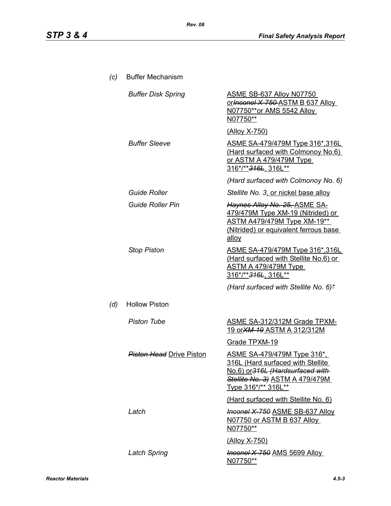| (c) | <b>Buffer Mechanism</b>         |                                                                                                                                                                       |
|-----|---------------------------------|-----------------------------------------------------------------------------------------------------------------------------------------------------------------------|
|     | <b>Buffer Disk Spring</b>       | ASME SB-637 Alloy N07750<br>or Inconel X 750 ASTM B 637 Alloy<br>N07750**or AMS 5542 Alloy<br>N07750**                                                                |
|     |                                 | <u>(Alloy X-750)</u>                                                                                                                                                  |
|     | <b>Buffer Sleeve</b>            | ASME SA-479/479M Type 316*,316L<br>(Hard surfaced with Colmonoy No.6)<br><u>or ASTM A 479/479M Type</u><br>316*/** <del>316L</del> , 316L**                           |
|     |                                 | (Hard surfaced with Colmonoy No. 6)                                                                                                                                   |
|     | <b>Guide Roller</b>             | Stellite No. 3, or nickel base alloy                                                                                                                                  |
|     | <b>Guide Roller Pin</b>         | Haynes Alloy No. 25, ASME SA-<br>479/479M Type XM-19 (Nitrided) or<br><b>ASTM A479/479M Type XM-19**</b><br>(Nitrided) or equivalent ferrous base<br>alloy            |
|     | <b>Stop Piston</b>              | ASME SA-479/479M Type 316*,316L<br>(Hard surfaced with Stellite No.6) or<br><u>ASTM A 479/479M Type_</u><br>316*/**316L, 316L**                                       |
|     |                                 | (Hard surfaced with Stellite No. 6)*                                                                                                                                  |
| (d) | <b>Hollow Piston</b>            |                                                                                                                                                                       |
|     | <b>Piston Tube</b>              | <b>ASME SA-312/312M Grade TPXM-</b><br><u>19 or XM-19 ASTM A 312/312M</u>                                                                                             |
|     |                                 | Grade TPXM-19                                                                                                                                                         |
|     | <b>Piston Head</b> Drive Piston | <u>ASME SA-479/479M Type 316*,</u><br>316L (Hard surfaced with Stellite<br>No.6) or 316L (Hardsurfaced with<br>Stellite No. 3) ASTM A 479/479M<br>Type 316*/** 316L** |
|     |                                 | (Hard surfaced with Stellite No. 6)                                                                                                                                   |
|     | Latch                           | <b>Inconel X-750 ASME SB-637 Alloy</b><br>N07750 or ASTM B 637 Alloy<br>N07750**                                                                                      |
|     |                                 | <u>(Alloy X-750)</u>                                                                                                                                                  |
|     | <b>Latch Spring</b>             | <b>Inconel X-750 AMS 5699 Alloy</b><br><u>N07750**</u>                                                                                                                |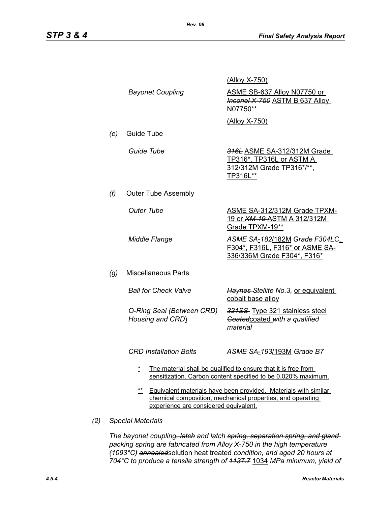|     |                                                                                                                                                                                 |                                                                                                                                      | (Alloy X-750)                                                                                    |
|-----|---------------------------------------------------------------------------------------------------------------------------------------------------------------------------------|--------------------------------------------------------------------------------------------------------------------------------------|--------------------------------------------------------------------------------------------------|
|     |                                                                                                                                                                                 | <b>Bayonet Coupling</b>                                                                                                              | ASME SB-637 Alloy N07750 or<br><b>Inconel X-750 ASTM B 637 Alloy</b><br>N07750**                 |
|     |                                                                                                                                                                                 |                                                                                                                                      | (Alloy X-750)                                                                                    |
|     | (e)                                                                                                                                                                             | Guide Tube                                                                                                                           |                                                                                                  |
|     |                                                                                                                                                                                 | Guide Tube                                                                                                                           | 316L ASME SA-312/312M Grade<br>TP316*, TP316L or ASTM A<br>312/312M Grade TP316*/**.<br>TP316L** |
|     | (f)                                                                                                                                                                             | <b>Outer Tube Assembly</b>                                                                                                           |                                                                                                  |
|     |                                                                                                                                                                                 | <b>Outer Tube</b>                                                                                                                    | <b>ASME SA-312/312M Grade TPXM-</b><br><u>19 or XM-19-ASTM A 312/312M</u><br>Grade TPXM-19**     |
|     |                                                                                                                                                                                 | Middle Flange                                                                                                                        | ASME SA-182/182M Grade F304LG<br>F304*, F316L, F316* or ASME SA-<br>336/336M Grade F304*, F316*  |
|     | (g)                                                                                                                                                                             | <b>Miscellaneous Parts</b>                                                                                                           |                                                                                                  |
|     |                                                                                                                                                                                 | <b>Ball for Check Valve</b>                                                                                                          | Haynes-Stellite No.3, or equivalent<br>cobalt base alloy                                         |
|     |                                                                                                                                                                                 | O-Ring Seal (Between CRD)<br>Housing and CRD)                                                                                        | 321SS- Type 321 stainless steel<br>Goated coated with a qualified<br>material                    |
|     |                                                                                                                                                                                 | <b>CRD Installation Bolts</b>                                                                                                        | ASME SA-193/193M Grade B7                                                                        |
|     |                                                                                                                                                                                 | *<br>The material shall be qualified to ensure that it is free from<br>sensitization. Carbon content specified to be 0.020% maximum. |                                                                                                  |
|     | $***$<br>Equivalent materials have been provided. Materials with similar<br>chemical composition, mechanical properties, and operating<br>experience are considered equivalent. |                                                                                                                                      |                                                                                                  |
| (2) | <b>Special Materials</b>                                                                                                                                                        |                                                                                                                                      |                                                                                                  |

*The bayonet coupling, latch and latch spring, separation spring, and gland packing spring are fabricated from Alloy X-750 in the high temperature (1093°C) annealed*solution heat treated *condition, and aged 20 hours at 704°C to produce a tensile strength of 1137.7* 1034 *MPa minimum, yield of*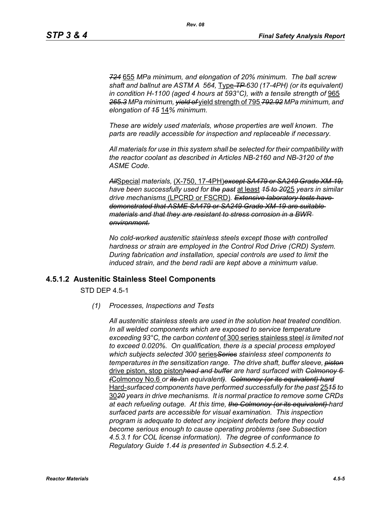*724* 655 *MPa minimum, and elongation of 20% minimum. The ball screw shaft and ballnut are ASTM A 564,* Type *TP 630 (17-4PH) (or its equivalent) in condition H-1100 (aged 4 hours at 593°C), with a tensile strength of* 965 *265.3 MPa minimum, yield of* yield strength of 795 *792.92 MPa minimum, and elongation of 15* 14*% minimum.*

*These are widely used materials, whose properties are well known. The parts are readily accessible for inspection and replaceable if necessary.*

*All materials for use in this system shall be selected for their compatibility with the reactor coolant as described in Articles NB-2160 and NB-3120 of the ASME Code.*

*All*Special *materials,* (X-750, 17-4PH)*except SA479 or SA249 Grade XM-19, have been successfully used for the past* at least *15 to 20*25 *years in similar drive mechanisms* (LPCRD or FSCRD)*. Extensive laboratory tests have demonstrated that ASME SA479 or SA249 Grade XM-19 are suitable materials and that they are resistant to stress corrosion in a BWR environment.*

*No cold-worked austenitic stainless steels except those with controlled hardness or strain are employed in the Control Rod Drive (CRD) System. During fabrication and installation, special controls are used to limit the induced strain, and the bend radii are kept above a minimum value.*

#### **4.5.1.2 Austenitic Stainless Steel Components**

STD DEP 4.5-1

*(1) Processes, Inspections and Tests*

*All austenitic stainless steels are used in the solution heat treated condition. In all welded components which are exposed to service temperature exceeding 93°C, the carbon content* of 300 series stainless steel *is limited not to exceed 0.020%. On qualification, there is a special process employed which subjects selected 300* series*Series stainless steel components to temperatures in the sensitization range. The drive shaft, buffer sleeve, piston* drive piston, stop piston*head and buffer are hard surfaced with Colmonoy 6 (*Colmonoy No.6 *or its /*an *equivalent). Colmonoy (or its equivalent) hard* Hard-*surfaced components have performed successfully for the past* 25*15 to* 30*20 years in drive mechanisms. It is normal practice to remove some CRDs at each refueling outage. At this time, the Colmonoy (or its equivalent) hard surfaced parts are accessible for visual examination. This inspection program is adequate to detect any incipient defects before they could become serious enough to cause operating problems (see Subsection 4.5.3.1 for COL license information). The degree of conformance to Regulatory Guide 1.44 is presented in Subsection 4.5.2.4.*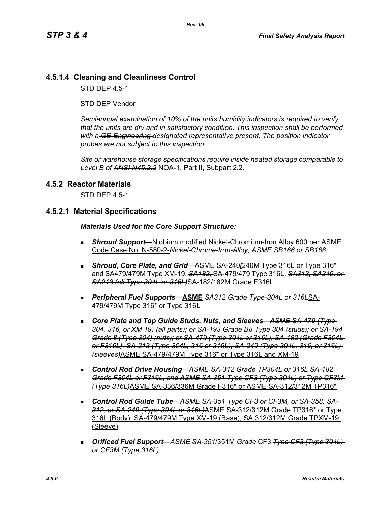## **4.5.1.4 Cleaning and Cleanliness Control**

STD DEP 4.5-1

STD DEP Vendor

*Semiannual examination of 10% of the units humidity indicators is required to verify that the units are dry and in satisfactory condition. This inspection shall be performed with a GE-Engineering designated representative present. The position indicator probes are not subject to this inspection.*

*Site or warehouse storage specifications require inside heated storage comparable to Level B of ANSI N45.2.2* NQA-1, Part II, Subpart 2.2.

#### **4.5.2 Reactor Materials**

STD DEP 4.5-1

#### **4.5.2.1 Material Specifications**

#### *Materials Used for the Core Support Structure:*

- *Shroud Support*—Niobium modified Nickel-Chromium-Iron Alloy 600 per ASME Code Case No. N-580-2-*Nickel-Chrome-Iron-Alloy, ASME SB166 or SB168*
- **Shroud, Core Plate, and Grid**—ASME SA-240/240M Type 316L or Type 316<sup>\*</sup> and SA479/479M Type XM-19, *SA182,* SA-479/479 Type 316L, *SA312, SA249, or SA213 (all Type 304L or 316L)*SA-182/182M Grade F316L
- *Peripheral Fuel Supports*—**ASME** *SA312 Grade Type-304L or 316L*SA-479/479M Type 316\* or Type 316L
- *Core Plate and Top Guide Studs, Nuts, and Sleeves*—*ASME SA-479 (Type 304, 316, or XM 19) (all parts); or SA-193 Grade B8 Type 304 (studs); or SA-194 Grade 8 (Type 304) (nuts); or SA-479 (Type 304L or 316L), SA-182 (Grade F304L or F316L), SA-213 (Type 304L, 316 or 316L), SA-249 (Type 304L, 316, or 316L) (sleeves)*ASME SA-479/479M Type 316\* or Type 316L and XM-19
- *Control Rod Drive Housing*—*ASME SA-312 Grade TP304L or 316L SA-182 Grade F304L or F316L, and ASME SA-351 Type CF3 (Type 304L) or Type CF3M (Type 316L)*ASME SA-336/336M Grade F316\* or ASME SA-312/312M TP316\*
- Control Rod Guide Tube—ASME SA 351 Type CF3 or CF3M, or SA 358, SA-*312, or SA-249 (Type 304L or 316L)*ASME SA-312/312M Grade TP316\* or Type 316L (Body), SA-479/479M Type XM-19 (Base), SA 312/312M Grade TPXM-19 (Sleeve)
- *Orificed Fuel Support*—*ASME SA-351*/351M *Grade* CF3 *Type CF3 (Type 304L) or CF3M (Type 316L)*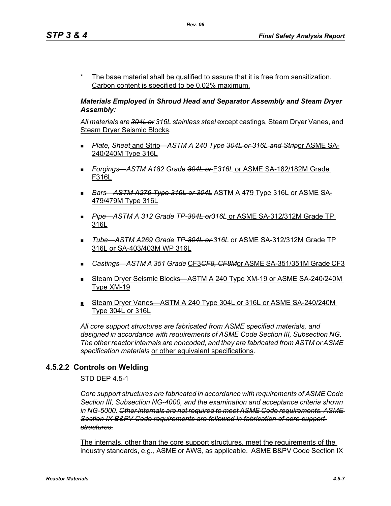The base material shall be qualified to assure that it is free from sensitization. Carbon content is specified to be 0.02% maximum.

### *Materials Employed in Shroud Head and Separator Assembly and Steam Dryer Assembly:*

*All materials are 304L or 316L stainless steel* except castings, Steam Dryer Vanes, and Steam Dryer Seismic Blocks.

- *Plate, Sheet* and Strip—*ASTM A 240 Type 304L or 316L and Strip*or ASME SA-240/240M Type 316L
- *Forgings—ASTM A182 Grade 304L or* F*316L* or ASME SA-182/182M Grade F316L
- *Bars*—*ASTM A276 Type 316L or 304L* ASTM A 479 Type 316L or ASME SA-479/479M Type 316L
- *Pipe*—*ASTM A 312 Grade TP-304L or316L* or ASME SA-312/312M Grade TP 316L
- *Tube*—*ASTM A269 Grade TP-304L or 316L* or ASME SA-312/312M Grade TP 316L or SA-403/403M WP 316L
- *Castings—ASTM A 351 Grade* CF3*CF8, CF8M*or ASME SA-351/351M Grade CF3
- Steam Dryer Seismic Blocks—ASTM A 240 Type XM-19 or ASME SA-240/240M Type XM-19
- Steam Dryer Vanes—ASTM A 240 Type 304L or 316L or ASME SA-240/240M Type 304L or 316L

*All core support structures are fabricated from ASME specified materials, and designed in accordance with requirements of ASME Code Section III, Subsection NG. The other reactor internals are noncoded, and they are fabricated from ASTM or ASME specification materials* or other equivalent specifications.

## **4.5.2.2 Controls on Welding**

STD DEP 4.5-1

*Core support structures are fabricated in accordance with requirements of ASME Code Section III, Subsection NG-4000, and the examination and acceptance criteria shown in NG-5000. Other internals are not required to meet ASME Code requirements. ASME Section IX B&PV Code requirements are followed in fabrication of core support structures.*

The internals, other than the core support structures, meet the requirements of the industry standards, e.g., ASME or AWS, as applicable. ASME B&PV Code Section IX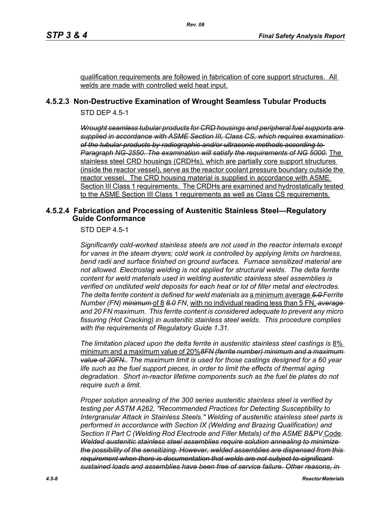qualification requirements are followed in fabrication of core support structures. All welds are made with controlled weld heat input.

## **4.5.2.3 Non-Destructive Examination of Wrought Seamless Tubular Products**

STD DEP 4.5-1

*Wrought seamless tubular products for CRD housings and peripheral fuel supports are supplied in accordance with ASME Section III, Class CS, which requires examination of the tubular products by radiographic and/or ultrasonic methods according to Paragraph NG-2550. The examination will satisfy the requirements of NG 5000.* The stainless steel CRD housings (CRDHs), which are partially core support structures (inside the reactor vessel), serve as the reactor coolant pressure boundary outside the reactor vessel. The CRD housing material is supplied in accordance with ASME Section III Class 1 requirements. The CRDHs are examined and hydrostatically tested to the ASME Section III Class 1 requirements as well as Class CS requirements.

#### **4.5.2.4 Fabrication and Processing of Austenitic Stainless Steel—Regulatory Guide Conformance**

STD DEP 4.5-1

*Significantly cold-worked stainless steels are not used in the reactor internals except for vanes in the steam dryers; cold work is controlled by applying limits on hardness, bend radii and surface finished on ground surfaces. Furnace sensitized material are not allowed. Electroslag welding is not applied for structural welds. The delta ferrite content for weld materials used in welding austenitic stainless steel assemblies is verified on undiluted weld deposits for each heat or lot of filler metal and electrodes. The delta ferrite content is defined for weld materials as* a minimum average *5.0 Ferrite Number (FN) minimum* of 8 *8.0 FN*, with no individual reading less than 5 FN, *average and 20 FN maximum. This ferrite content is considered adequate to prevent any micro fissuring (Hot Cracking) in austenitic stainless steel welds. This procedure complies with the requirements of Regulatory Guide 1.31.*

*The limitation placed upon the delta ferrite in austenitic stainless steel castings is* 8% minimum and a maximum value of 20%*8FN (ferrite number) minimum and a maximum value of 20FN.***.** *The maximum limit is used for those castings designed for a 60 year life such as the fuel support pieces, in order to limit the effects of thermal aging degradation. Short in-reactor lifetime components such as the fuel tie plates do not require such a limit.*

*Proper solution annealing of the 300 series austenitic stainless steel is verified by testing per ASTM A262, "Recommended Practices for Detecting Susceptibility to Intergranular Attack in Stainless Steels." Welding of austenitic stainless steel parts is performed in accordance with Section IX (Welding and Brazing Qualification) and Section II Part C (Welding Rod Electrode and Filler Metals) of the ASME B&PV* Code. *Welded austenitic stainless steel assemblies require solution annealing to minimize the possibility of the sensitizing. However, welded assemblies are dispensed from this requirement when there is documentation that welds are not subject to significant sustained loads and assemblies have been free of service failure. Other reasons, in*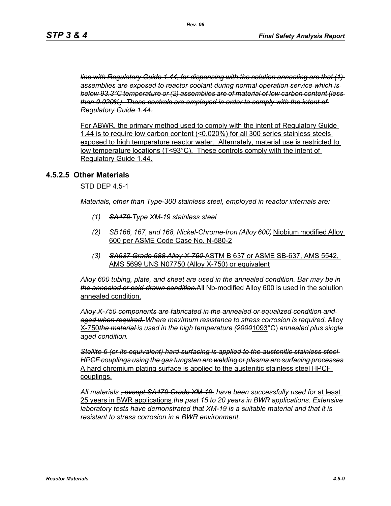*line with Regulatory Guide 1.44, for dispensing with the solution annealing are that (1) assemblies are exposed to reactor coolant during normal operation service which is below 93.3°C temperature or (2) assemblies are of material of low carbon content (less than 0.020%). These controls are employed in order to comply with the intent of Regulatory Guide 1.44.*

For ABWR, the primary method used to comply with the intent of Regulatory Guide 1.44 is to require low carbon content (<0.020%) for all 300 series stainless steels exposed to high temperature reactor water. Alternately, material use is restricted to low temperature locations (T<93°C). These controls comply with the intent of Regulatory Guide 1.44.

#### **4.5.2.5 Other Materials**

STD DEP 4.5-1

*Materials, other than Type-300 stainless steel, employed in reactor internals are:*

- *(1) SA479 Type XM-19 stainless steel*
- *(2) SB166, 167, and 168, Nickel-Chrome-Iron (Alloy 600)* Niobium modified Alloy 600 per ASME Code Case No. N-580-2
- *(3) SA637 Grade 688 Alloy X-750* ASTM B 637 or ASME SB-637, AMS 5542, AMS 5699 UNS N07750 (Alloy X-750) or equivalent

*Alloy 600 tubing, plate, and sheet are used in the annealed condition. Bar may be in the annealed or cold-drawn condition.*All Nb-modified Alloy 600 is used in the solution annealed condition.

*Alloy X-750 components are fabricated in the annealed or equalized condition and aged when required. Where maximum resistance to stress corrosion is required,* Alloy X-750*the material is used in the high temperature (2000*1093°C) *annealed plus single aged condition.*

*Stellite 6 (or its equivalent) hard surfacing is applied to the austenitic stainless steel HPCF couplings using the gas tungsten arc welding or plasma arc surfacing processes* A hard chromium plating surface is applied to the austenitic stainless steel HPCF couplings.

*All materials , except SA479 Grade XM-19, have been successfully used for* at least 25 years in BWR applications.*the past 15 to 20 years in BWR applications. Extensive laboratory tests have demonstrated that XM-19 is a suitable material and that it is resistant to stress corrosion in a BWR environment.*